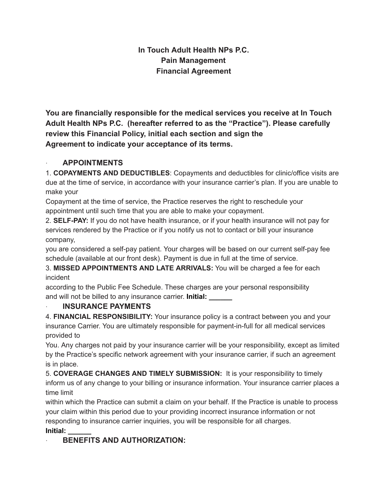## **In Touch Adult Health NPs P.C. Pain Management Financial Agreement**

**You are financially responsible for the medical services you receive at In Touch Adult Health NPs P.C. (hereafter referred to as the "Practice"). Please carefully review this Financial Policy, initial each section and sign the Agreement to indicate your acceptance of its terms.**

## · **APPOINTMENTS**

1. **COPAYMENTS AND DEDUCTIBLES**: Copayments and deductibles for clinic/office visits are due at the time of service, in accordance with your insurance carrier's plan. If you are unable to make your

Copayment at the time of service, the Practice reserves the right to reschedule your appointment until such time that you are able to make your copayment.

2. **SELF-PAY:** If you do not have health insurance, or if your health insurance will not pay for services rendered by the Practice or if you notify us not to contact or bill your insurance company,

you are considered a self-pay patient. Your charges will be based on our current self-pay fee schedule (available at our front desk). Payment is due in full at the time of service.

3. **MISSED APPOINTMENTS AND LATE ARRIVALS:** You will be charged a fee for each incident

according to the Public Fee Schedule. These charges are your personal responsibility and will not be billed to any insurance carrier. **Initial: \_\_\_\_\_\_**

## · **INSURANCE PAYMENTS**

4. **FINANCIAL RESPONSIBILITY:** Your insurance policy is a contract between you and your insurance Carrier. You are ultimately responsible for payment-in-full for all medical services provided to

You. Any charges not paid by your insurance carrier will be your responsibility, except as limited by the Practice's specific network agreement with your insurance carrier, if such an agreement is in place.

5. **COVERAGE CHANGES AND TIMELY SUBMISSION:** It is your responsibility to timely inform us of any change to your billing or insurance information. Your insurance carrier places a time limit

within which the Practice can submit a claim on your behalf. If the Practice is unable to process your claim within this period due to your providing incorrect insurance information or not responding to insurance carrier inquiries, you will be responsible for all charges. **Initial: \_\_\_\_\_\_**

# · **BENEFITS AND AUTHORIZATION:**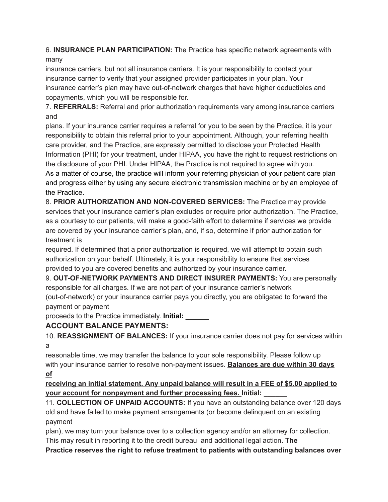6. **INSURANCE PLAN PARTICIPATION:** The Practice has specific network agreements with many

insurance carriers, but not all insurance carriers. It is your responsibility to contact your insurance carrier to verify that your assigned provider participates in your plan. Your insurance carrier's plan may have out-of-network charges that have higher deductibles and copayments, which you will be responsible for.

7. **REFERRALS:** Referral and prior authorization requirements vary among insurance carriers and

plans. If your insurance carrier requires a referral for you to be seen by the Practice, it is your responsibility to obtain this referral prior to your appointment. Although, your referring health care provider, and the Practice, are expressly permitted to disclose your Protected Health Information (PHI) for your treatment, under HIPAA, you have the right to request restrictions on the disclosure of your PHI. Under HIPAA, the Practice is not required to agree with you. As a matter of course, the practice will inform your referring physician of your patient care plan and progress either by using any secure electronic transmission machine or by an employee of the Practice.

8. **PRIOR AUTHORIZATION AND NON-COVERED SERVICES:** The Practice may provide services that your insurance carrier's plan excludes or require prior authorization. The Practice, as a courtesy to our patients, will make a good-faith effort to determine if services we provide are covered by your insurance carrier's plan, and, if so, determine if prior authorization for treatment is

required. If determined that a prior authorization is required, we will attempt to obtain such authorization on your behalf. Ultimately, it is your responsibility to ensure that services provided to you are covered benefits and authorized by your insurance carrier.

9. **OUT-OF-NETWORK PAYMENTS AND DIRECT INSURER PAYMENTS:** You are personally responsible for all charges. If we are not part of your insurance carrier's network (out-of-network) or your insurance carrier pays you directly, you are obligated to forward the

payment or payment

proceeds to the Practice immediately. **Initial: \_\_\_\_\_\_**

## **ACCOUNT BALANCE PAYMENTS:**

10. **REASSIGNMENT OF BALANCES:** If your insurance carrier does not pay for services within a

reasonable time, we may transfer the balance to your sole responsibility. Please follow up with your insurance carrier to resolve non-payment issues. **Balances are due within 30 days of**

**receiving an initial statement. Any unpaid balance will result in a FEE of \$5.00 applied to your account for nonpayment and further processing fees. Initial: \_\_\_\_\_\_**

11. **COLLECTION OF UNPAID ACCOUNTS:** If you have an outstanding balance over 120 days old and have failed to make payment arrangements (or become delinquent on an existing payment

plan), we may turn your balance over to a collection agency and/or an attorney for collection. This may result in reporting it to the credit bureau and additional legal action. **The**

**Practice reserves the right to refuse treatment to patients with outstanding balances over**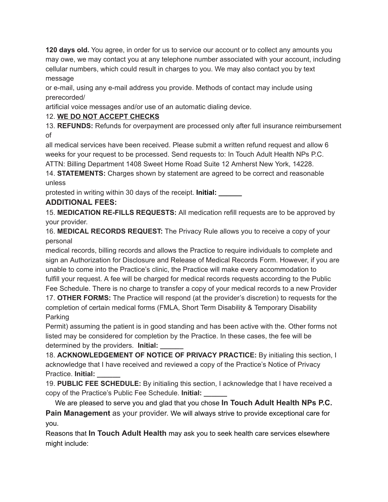**120 days old.** You agree, in order for us to service our account or to collect any amounts you may owe, we may contact you at any telephone number associated with your account, including cellular numbers, which could result in charges to you. We may also contact you by text message

or e-mail, using any e-mail address you provide. Methods of contact may include using prerecorded/

artificial voice messages and/or use of an automatic dialing device.

## 12. **WE DO NOT ACCEPT CHECKS**

13. **REFUNDS:** Refunds for overpayment are processed only after full insurance reimbursement of

all medical services have been received. Please submit a written refund request and allow 6 weeks for your request to be processed. Send requests to: In Touch Adult Health NPs P.C.

ATTN: Billing Department 1408 Sweet Home Road Suite 12 Amherst New York, 14228.

14. **STATEMENTS:** Charges shown by statement are agreed to be correct and reasonable unless

protested in writing within 30 days of the receipt. **Initial: \_\_\_\_\_\_**

## **ADDITIONAL FEES:**

15. **MEDICATION RE-FILLS REQUESTS:** All medication refill requests are to be approved by your provider.

16. **MEDICAL RECORDS REQUEST:** The Privacy Rule allows you to receive a copy of your personal

medical records, billing records and allows the Practice to require individuals to complete and sign an Authorization for Disclosure and Release of Medical Records Form. However, if you are unable to come into the Practice's clinic, the Practice will make every accommodation to fulfill your request. A fee will be charged for medical records requests according to the Public Fee Schedule. There is no charge to transfer a copy of your medical records to a new Provider

17. **OTHER FORMS:** The Practice will respond (at the provider's discretion) to requests for the completion of certain medical forms (FMLA, Short Term Disability & Temporary Disability Parking

Permit) assuming the patient is in good standing and has been active with the. Other forms not listed may be considered for completion by the Practice. In these cases, the fee will be determined by the providers. **Initial: \_\_\_\_\_\_**

18. **ACKNOWLEDGEMENT OF NOTICE OF PRIVACY PRACTICE:** By initialing this section, I acknowledge that I have received and reviewed a copy of the Practice's Notice of Privacy Practice. **Initial: \_\_\_\_\_\_**

19. **PUBLIC FEE SCHEDULE:** By initialing this section, I acknowledge that I have received a copy of the Practice's Public Fee Schedule. **Initial: \_\_\_\_\_\_**

We are pleased to serve you and glad that you chose **In Touch Adult Health NPs P.C. Pain Management** as your provider. We will always strive to provide exceptional care for you.

Reasons that **In Touch Adult Health** may ask you to seek health care services elsewhere might include: